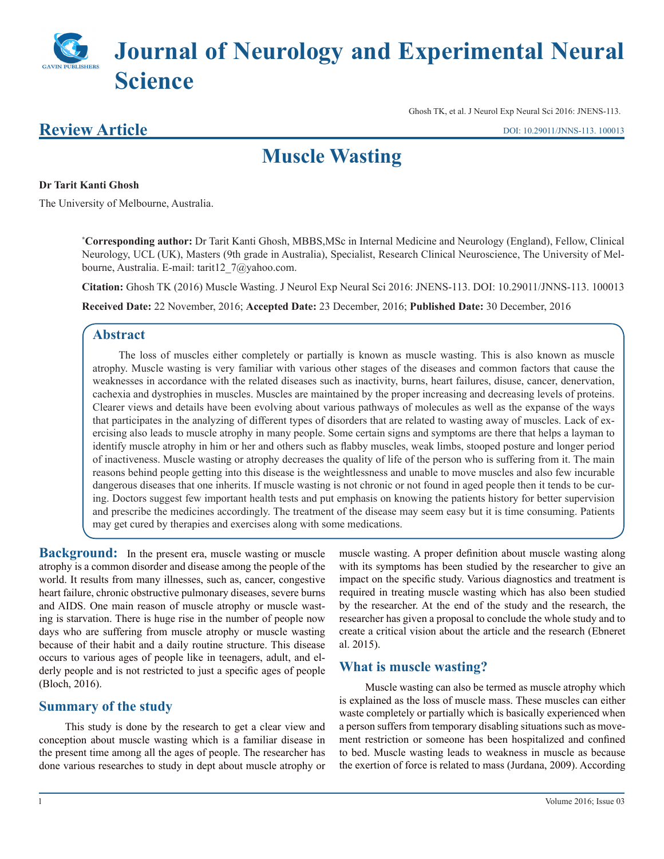# **Journal of Neurology and Experimental Neural Science**

### **Review Article**

Ghosh TK, et al. J Neurol Exp Neural Sci 2016: JNENS-113.

## **Muscle Wasting**

#### **Dr Tarit Kanti Ghosh**

The University of Melbourne, Australia.

**\* Corresponding author:** Dr Tarit Kanti Ghosh, MBBS,MSc in Internal Medicine and Neurology (England), Fellow, Clinical Neurology, UCL (UK), Masters (9th grade in Australia), Specialist, Research Clinical Neuroscience, The University of Melbourne, Australia. E-mail: tarit12\_7@yahoo.com.

**Citation:** Ghosh TK (2016) Muscle Wasting. J Neurol Exp Neural Sci 2016: JNENS-113. DOI: 10.29011/JNNS-113. 100013

**Received Date:** 22 November, 2016; **Accepted Date:** 23 December, 2016; **Published Date:** 30 December, 2016

#### **Abstract**

The loss of muscles either completely or partially is known as muscle wasting. This is also known as muscle atrophy. Muscle wasting is very familiar with various other stages of the diseases and common factors that cause the weaknesses in accordance with the related diseases such as inactivity, burns, heart failures, disuse, cancer, denervation, cachexia and dystrophies in muscles. Muscles are maintained by the proper increasing and decreasing levels of proteins. Clearer views and details have been evolving about various pathways of molecules as well as the expanse of the ways that participates in the analyzing of different types of disorders that are related to wasting away of muscles. Lack of exercising also leads to muscle atrophy in many people. Some certain signs and symptoms are there that helps a layman to identify muscle atrophy in him or her and others such as flabby muscles, weak limbs, stooped posture and longer period of inactiveness. Muscle wasting or atrophy decreases the quality of life of the person who is suffering from it. The main reasons behind people getting into this disease is the weightlessness and unable to move muscles and also few incurable dangerous diseases that one inherits. If muscle wasting is not chronic or not found in aged people then it tends to be curing. Doctors suggest few important health tests and put emphasis on knowing the patients history for better supervision and prescribe the medicines accordingly. The treatment of the disease may seem easy but it is time consuming. Patients may get cured by therapies and exercises along with some medications.

**Background:** In the present era, muscle wasting or muscle atrophy is a common disorder and disease among the people of the world. It results from many illnesses, such as, cancer, congestive heart failure, chronic obstructive pulmonary diseases, severe burns and AIDS. One main reason of muscle atrophy or muscle wasting is starvation. There is huge rise in the number of people now days who are suffering from muscle atrophy or muscle wasting because of their habit and a daily routine structure. This disease occurs to various ages of people like in teenagers, adult, and elderly people and is not restricted to just a specific ages of people (Bloch, 2016).

#### **Summary of the study**

This study is done by the research to get a clear view and conception about muscle wasting which is a familiar disease in the present time among all the ages of people. The researcher has done various researches to study in dept about muscle atrophy or muscle wasting. A proper definition about muscle wasting along with its symptoms has been studied by the researcher to give an impact on the specific study. Various diagnostics and treatment is required in treating muscle wasting which has also been studied by the researcher. At the end of the study and the research, the researcher has given a proposal to conclude the whole study and to create a critical vision about the article and the research (Ebneret al. 2015).

#### **What is muscle wasting?**

Muscle wasting can also be termed as muscle atrophy which is explained as the loss of muscle mass. These muscles can either waste completely or partially which is basically experienced when a person suffers from temporary disabling situations such as movement restriction or someone has been hospitalized and confined to bed. Muscle wasting leads to weakness in muscle as because the exertion of force is related to mass (Jurdana, 2009). According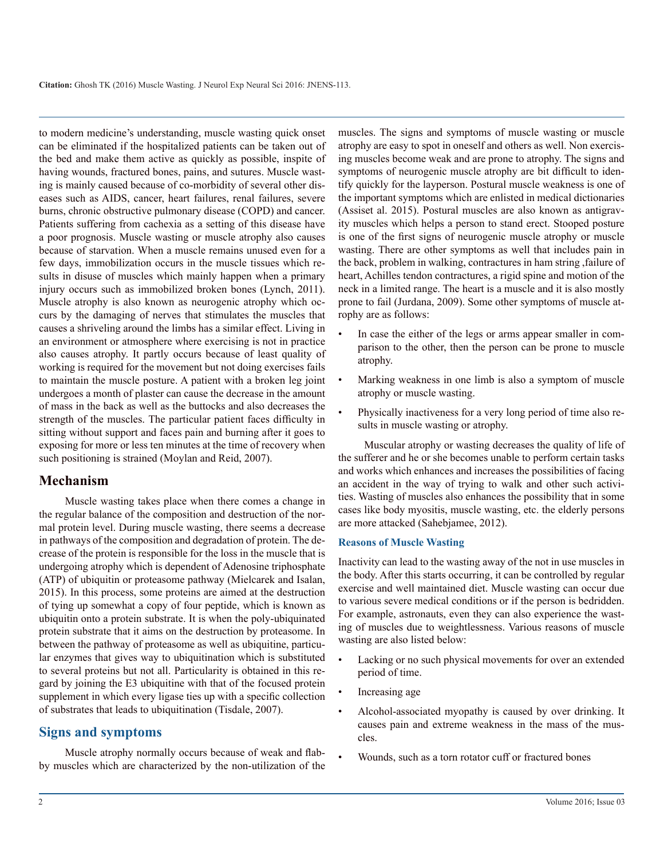to modern medicine's understanding, muscle wasting quick onset can be eliminated if the hospitalized patients can be taken out of the bed and make them active as quickly as possible, inspite of having wounds, fractured bones, pains, and sutures. Muscle wasting is mainly caused because of co-morbidity of several other diseases such as AIDS, cancer, heart failures, renal failures, severe burns, chronic obstructive pulmonary disease (COPD) and cancer. Patients suffering from cachexia as a setting of this disease have a poor prognosis. Muscle wasting or muscle atrophy also causes because of starvation. When a muscle remains unused even for a few days, immobilization occurs in the muscle tissues which results in disuse of muscles which mainly happen when a primary injury occurs such as immobilized broken bones (Lynch, 2011). Muscle atrophy is also known as neurogenic atrophy which occurs by the damaging of nerves that stimulates the muscles that causes a shriveling around the limbs has a similar effect. Living in an environment or atmosphere where exercising is not in practice also causes atrophy. It partly occurs because of least quality of working is required for the movement but not doing exercises fails to maintain the muscle posture. A patient with a broken leg joint undergoes a month of plaster can cause the decrease in the amount of mass in the back as well as the buttocks and also decreases the strength of the muscles. The particular patient faces difficulty in sitting without support and faces pain and burning after it goes to exposing for more or less ten minutes at the time of recovery when such positioning is strained (Moylan and Reid, 2007).

#### **Mechanism**

Muscle wasting takes place when there comes a change in the regular balance of the composition and destruction of the normal protein level. During muscle wasting, there seems a decrease in pathways of the composition and degradation of protein. The decrease of the protein is responsible for the loss in the muscle that is undergoing atrophy which is dependent of Adenosine triphosphate (ATP) of ubiquitin or proteasome pathway (Mielcarek and Isalan, 2015). In this process, some proteins are aimed at the destruction of tying up somewhat a copy of four peptide, which is known as ubiquitin onto a protein substrate. It is when the poly-ubiquinated protein substrate that it aims on the destruction by proteasome. In between the pathway of proteasome as well as ubiquitine, particular enzymes that gives way to ubiquitination which is substituted to several proteins but not all. Particularity is obtained in this regard by joining the E3 ubiquitine with that of the focused protein supplement in which every ligase ties up with a specific collection of substrates that leads to ubiquitination (Tisdale, 2007).

#### **Signs and symptoms**

Muscle atrophy normally occurs because of weak and flabby muscles which are characterized by the non-utilization of the

muscles. The signs and symptoms of muscle wasting or muscle atrophy are easy to spot in oneself and others as well. Non exercising muscles become weak and are prone to atrophy. The signs and symptoms of neurogenic muscle atrophy are bit difficult to identify quickly for the layperson. Postural muscle weakness is one of the important symptoms which are enlisted in medical dictionaries (Assiset al. 2015). Postural muscles are also known as antigravity muscles which helps a person to stand erect. Stooped posture is one of the first signs of neurogenic muscle atrophy or muscle wasting. There are other symptoms as well that includes pain in the back, problem in walking, contractures in ham string ,failure of heart, Achilles tendon contractures, a rigid spine and motion of the neck in a limited range. The heart is a muscle and it is also mostly prone to fail (Jurdana, 2009). Some other symptoms of muscle atrophy are as follows:

- In case the either of the legs or arms appear smaller in comparison to the other, then the person can be prone to muscle atrophy.
- Marking weakness in one limb is also a symptom of muscle atrophy or muscle wasting.
- Physically inactiveness for a very long period of time also results in muscle wasting or atrophy.

Muscular atrophy or wasting decreases the quality of life of the sufferer and he or she becomes unable to perform certain tasks and works which enhances and increases the possibilities of facing an accident in the way of trying to walk and other such activities. Wasting of muscles also enhances the possibility that in some cases like body myositis, muscle wasting, etc. the elderly persons are more attacked (Sahebjamee, 2012).

#### **Reasons of Muscle Wasting**

Inactivity can lead to the wasting away of the not in use muscles in the body. After this starts occurring, it can be controlled by regular exercise and well maintained diet. Muscle wasting can occur due to various severe medical conditions or if the person is bedridden. For example, astronauts, even they can also experience the wasting of muscles due to weightlessness. Various reasons of muscle wasting are also listed below:

- Lacking or no such physical movements for over an extended period of time.
- Increasing age
- Alcohol-associated myopathy is caused by over drinking. It causes pain and extreme weakness in the mass of the muscles.
- Wounds, such as a torn rotator cuff or fractured bones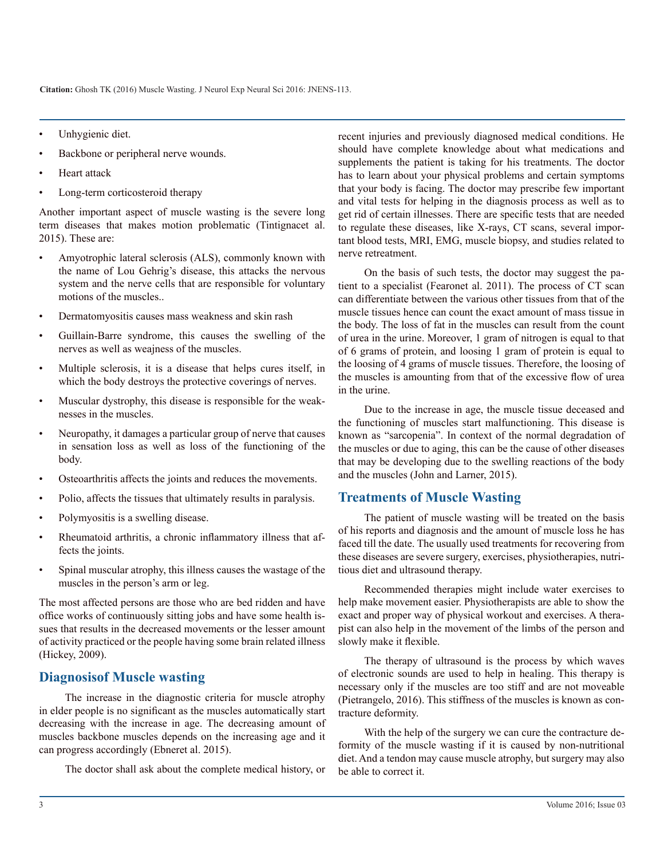**Citation:** Ghosh TK (2016) Muscle Wasting. J Neurol Exp Neural Sci 2016: JNENS-113.

- Unhygienic diet.
- Backbone or peripheral nerve wounds.
- Heart attack
- Long-term corticosteroid therapy

Another important aspect of muscle wasting is the severe long term diseases that makes motion problematic (Tintignacet al. 2015). These are:

- Amyotrophic lateral sclerosis (ALS), commonly known with the name of Lou Gehrig's disease, this attacks the nervous system and the nerve cells that are responsible for voluntary motions of the muscles..
- Dermatomyositis causes mass weakness and skin rash
- Guillain-Barre syndrome, this causes the swelling of the nerves as well as weajness of the muscles.
- Multiple sclerosis, it is a disease that helps cures itself, in which the body destroys the protective coverings of nerves.
- Muscular dystrophy, this disease is responsible for the weaknesses in the muscles.
- Neuropathy, it damages a particular group of nerve that causes in sensation loss as well as loss of the functioning of the body.
- Osteoarthritis affects the joints and reduces the movements.
- Polio, affects the tissues that ultimately results in paralysis.
- Polymyositis is a swelling disease.
- Rheumatoid arthritis, a chronic inflammatory illness that affects the joints.
- Spinal muscular atrophy, this illness causes the wastage of the muscles in the person's arm or leg.

The most affected persons are those who are bed ridden and have office works of continuously sitting jobs and have some health issues that results in the decreased movements or the lesser amount of activity practiced or the people having some brain related illness (Hickey, 2009).

#### **Diagnosisof Muscle wasting**

The increase in the diagnostic criteria for muscle atrophy in elder people is no significant as the muscles automatically start decreasing with the increase in age. The decreasing amount of muscles backbone muscles depends on the increasing age and it can progress accordingly (Ebneret al. 2015).

The doctor shall ask about the complete medical history, or

recent injuries and previously diagnosed medical conditions. He should have complete knowledge about what medications and supplements the patient is taking for his treatments. The doctor has to learn about your physical problems and certain symptoms that your body is facing. The doctor may prescribe few important and vital tests for helping in the diagnosis process as well as to get rid of certain illnesses. There are specific tests that are needed to regulate these diseases, like X-rays, CT scans, several important blood tests, MRI, EMG, muscle biopsy, and studies related to nerve retreatment.

On the basis of such tests, the doctor may suggest the patient to a specialist (Fearonet al. 2011). The process of CT scan can differentiate between the various other tissues from that of the muscle tissues hence can count the exact amount of mass tissue in the body. The loss of fat in the muscles can result from the count of urea in the urine. Moreover, 1 gram of nitrogen is equal to that of 6 grams of protein, and loosing 1 gram of protein is equal to the loosing of 4 grams of muscle tissues. Therefore, the loosing of the muscles is amounting from that of the excessive flow of urea in the urine.

Due to the increase in age, the muscle tissue deceased and the functioning of muscles start malfunctioning. This disease is known as "sarcopenia". In context of the normal degradation of the muscles or due to aging, this can be the cause of other diseases that may be developing due to the swelling reactions of the body and the muscles (John and Larner, 2015).

#### **Treatments of Muscle Wasting**

The patient of muscle wasting will be treated on the basis of his reports and diagnosis and the amount of muscle loss he has faced till the date. The usually used treatments for recovering from these diseases are severe surgery, exercises, physiotherapies, nutritious diet and ultrasound therapy.

Recommended therapies might include water exercises to help make movement easier. Physiotherapists are able to show the exact and proper way of physical workout and exercises. A therapist can also help in the movement of the limbs of the person and slowly make it flexible.

The therapy of ultrasound is the process by which waves of electronic sounds are used to help in healing. This therapy is necessary only if the muscles are too stiff and are not moveable (Pietrangelo, 2016). This stiffness of the muscles is known as contracture deformity.

With the help of the surgery we can cure the contracture deformity of the muscle wasting if it is caused by non-nutritional diet. And a tendon may cause muscle atrophy, but surgery may also be able to correct it.